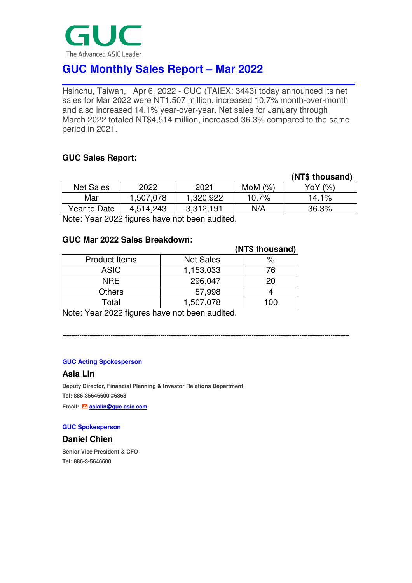

# **GUC Monthly Sales Report – Mar 2022**

Hsinchu, Taiwan, Apr 6, 2022 - GUC (TAIEX: 3443) today announced its net sales for Mar 2022 were NT1,507 million, increased 10.7% month-over-month and also increased 14.1% year-over-year. Net sales for January through March 2022 totaled NT\$4,514 million, increased 36.3% compared to the same period in 2021.

# **GUC Sales Report:**

|                                                     |           |           |            | (NT\$ thousand) |  |
|-----------------------------------------------------|-----------|-----------|------------|-----------------|--|
| <b>Net Sales</b>                                    | 2022      | 2021      | MoM $(\%)$ | YoY (%)         |  |
| Mar                                                 | 1,507,078 | 1,320,922 | 10.7%      | 14.1%           |  |
| Year to Date                                        | 4,514,243 | 3,312,191 | N/A        | 36.3%           |  |
| Mater Magn 0000 fining a leave mathematic available |           |           |            |                 |  |

**------------------------------------------------------------------------------------------------------------------------------------------** 

Note: Year 2022 figures have not been audited.

### **GUC Mar 2022 Sales Breakdown:**

|                      |                  | (NT\$ thousand) |
|----------------------|------------------|-----------------|
| <b>Product Items</b> | <b>Net Sales</b> | %               |
| <b>ASIC</b>          | 1,153,033        | 76              |
| <b>NRE</b>           | 296,047          | 20              |
| <b>Others</b>        | 57,998           |                 |
| Total                | 1,507,078        | 1 በበ            |

Note: Year 2022 figures have not been audited.

#### **GUC Acting Spokesperson**

#### **Asia Lin**

**Deputy Director, Financial Planning & Investor Relations Department Tel: 886-35646600 #6868** 

**Email: <b>asialin@guc-asic.com** 

#### **GUC Spokesperson**

# **Daniel Chien**

**Senior Vice President & CFO Tel: 886-3-5646600**